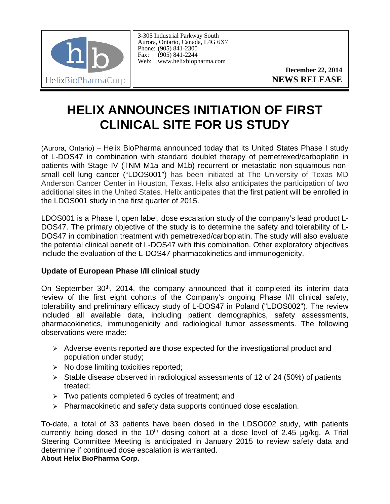

3-305 Industrial Parkway South Aurora, Ontario, Canada, L4G 6X7 Phone: (905) 841-2300 Fax: (905) 841-2244 Web: www.helixbiopharma.com

> **December 22, 2014 NEWS RELEASE**

## **HELIX ANNOUNCES INITIATION OF FIRST CLINICAL SITE FOR US STUDY**

(Aurora, Ontario) – Helix BioPharma announced today that its United States Phase I study of L-DOS47 in combination with standard doublet therapy of pemetrexed/carboplatin in patients with Stage IV (TNM M1a and M1b) recurrent or metastatic non-squamous nonsmall cell lung cancer ("LDOS001") has been initiated at The University of Texas MD Anderson Cancer Center in Houston, Texas. Helix also anticipates the participation of two additional sites in the United States. Helix anticipates that the first patient will be enrolled in the LDOS001 study in the first quarter of 2015.

LDOS001 is a Phase I, open label, dose escalation study of the company's lead product L-DOS47. The primary objective of the study is to determine the safety and tolerability of L-DOS47 in combination treatment with pemetrexed/carboplatin. The study will also evaluate the potential clinical benefit of L-DOS47 with this combination. Other exploratory objectives include the evaluation of the L-DOS47 pharmacokinetics and immunogenicity.

## **Update of European Phase I/II clinical study**

On September 30<sup>th</sup>, 2014, the company announced that it completed its interim data review of the first eight cohorts of the Company's ongoing Phase I/II clinical safety, tolerability and preliminary efficacy study of L-DOS47 in Poland ("LDOS002"). The review included all available data, including patient demographics, safety assessments, pharmacokinetics, immunogenicity and radiological tumor assessments. The following observations were made:

- $\triangleright$  Adverse events reported are those expected for the investigational product and population under study;
- $\triangleright$  No dose limiting toxicities reported;
- $\geq$  Stable disease observed in radiological assessments of 12 of 24 (50%) of patients treated;
- $\triangleright$  Two patients completed 6 cycles of treatment; and
- $\triangleright$  Pharmacokinetic and safety data supports continued dose escalation.

To-date, a total of 33 patients have been dosed in the LDSO002 study, with patients currently being dosed in the 10<sup>th</sup> dosing cohort at a dose level of 2.45  $\mu$ g/kg. A Trial Steering Committee Meeting is anticipated in January 2015 to review safety data and determine if continued dose escalation is warranted. **About Helix BioPharma Corp.**